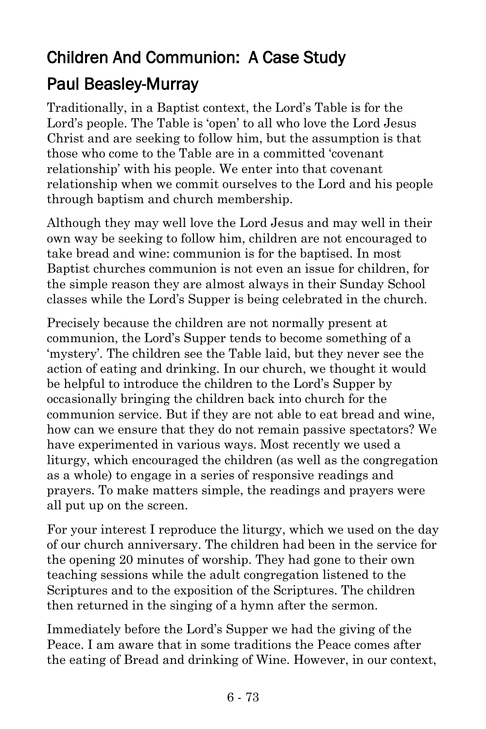# Children And Communion: A Case Study Paul Beasley-Murray

Traditionally, in a Baptist context, the Lord's Table is for the Lord's people. The Table is 'open' to all who love the Lord Jesus Christ and are seeking to follow him, but the assumption is that those who come to the Table are in a committed 'covenant relationship' with his people. We enter into that covenant relationship when we commit ourselves to the Lord and his people through baptism and church membership.

Although they may well love the Lord Jesus and may well in their own way be seeking to follow him, children are not encouraged to take bread and wine: communion is for the baptised. In most Baptist churches communion is not even an issue for children, for the simple reason they are almost always in their Sunday School classes while the Lord's Supper is being celebrated in the church.

Precisely because the children are not normally present at communion, the Lord's Supper tends to become something of a 'mystery'. The children see the Table laid, but they never see the action of eating and drinking. In our church, we thought it would be helpful to introduce the children to the Lord's Supper by occasionally bringing the children back into church for the communion service. But if they are not able to eat bread and wine, how can we ensure that they do not remain passive spectators? We have experimented in various ways. Most recently we used a liturgy, which encouraged the children (as well as the congregation as a whole) to engage in a series of responsive readings and prayers. To make matters simple, the readings and prayers were all put up on the screen.

For your interest I reproduce the liturgy, which we used on the day of our church anniversary. The children had been in the service for the opening 20 minutes of worship. They had gone to their own teaching sessions while the adult congregation listened to the Scriptures and to the exposition of the Scriptures. The children then returned in the singing of a hymn after the sermon.

Immediately before the Lord's Supper we had the giving of the Peace. I am aware that in some traditions the Peace comes after the eating of Bread and drinking of Wine. However, in our context,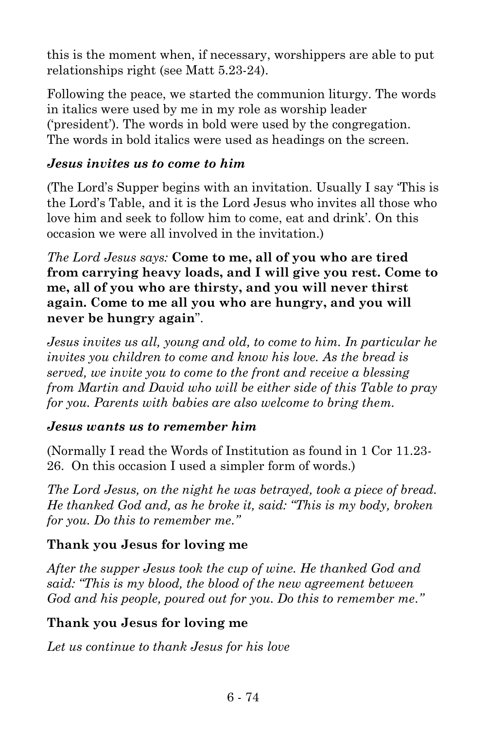this is the moment when, if necessary, worshippers are able to put relationships right (see Matt 5.23-24).

Following the peace, we started the communion liturgy. The words in italics were used by me in my role as worship leader ('president'). The words in bold were used by the congregation. The words in bold italics were used as headings on the screen.

#### *Jesus invites us to come to him*

(The Lord's Supper begins with an invitation. Usually I say 'This is the Lord's Table, and it is the Lord Jesus who invites all those who love him and seek to follow him to come, eat and drink'. On this occasion we were all involved in the invitation.)

*The Lord Jesus says:* **Come to me, all of you who are tired from carrying heavy loads, and I will give you rest. Come to me, all of you who are thirsty, and you will never thirst again. Come to me all you who are hungry, and you will never be hungry again**".

*Jesus invites us all, young and old, to come to him. In particular he invites you children to come and know his love. As the bread is served, we invite you to come to the front and receive a blessing from Martin and David who will be either side of this Table to pray for you. Parents with babies are also welcome to bring them.*

#### *Jesus wants us to remember him*

(Normally I read the Words of Institution as found in 1 Cor 11.23- 26. On this occasion I used a simpler form of words.)

*The Lord Jesus, on the night he was betrayed, took a piece of bread. He thanked God and, as he broke it, said: "This is my body, broken for you. Do this to remember me."*

#### **Thank you Jesus for loving me**

*After the supper Jesus took the cup of wine. He thanked God and said: "This is my blood, the blood of the new agreement between God and his people, poured out for you. Do this to remember me."*

#### **Thank you Jesus for loving me**

*Let us continue to thank Jesus for his love*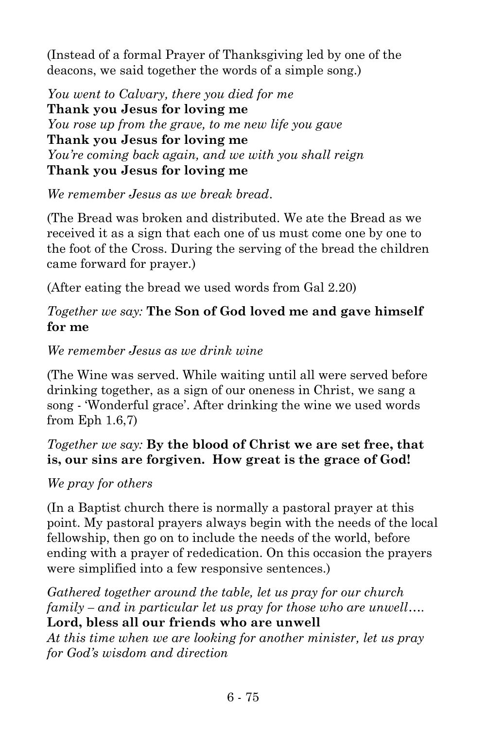(Instead of a formal Prayer of Thanksgiving led by one of the deacons, we said together the words of a simple song.)

*You went to Calvary, there you died for me* **Thank you Jesus for loving me** *You rose up from the grave, to me new life you gave* **Thank you Jesus for loving me** *You're coming back again, and we with you shall reign* **Thank you Jesus for loving me**

*We remember Jesus as we break bread*.

(The Bread was broken and distributed. We ate the Bread as we received it as a sign that each one of us must come one by one to the foot of the Cross. During the serving of the bread the children came forward for prayer.)

(After eating the bread we used words from Gal 2.20)

#### *Together we say:* **The Son of God loved me and gave himself for me**

*We remember Jesus as we drink wine*

(The Wine was served. While waiting until all were served before drinking together, as a sign of our oneness in Christ, we sang a song - 'Wonderful grace'. After drinking the wine we used words from Eph 1.6,7)

#### *Together we say:* **By the blood of Christ we are set free, that is, our sins are forgiven. How great is the grace of God!**

#### *We pray for others*

(In a Baptist church there is normally a pastoral prayer at this point. My pastoral prayers always begin with the needs of the local fellowship, then go on to include the needs of the world, before ending with a prayer of rededication. On this occasion the prayers were simplified into a few responsive sentences.)

*Gathered together around the table, let us pray for our church family – and in particular let us pray for those who are unwell*…. **Lord, bless all our friends who are unwell**

*At this time when we are looking for another minister, let us pray for God's wisdom and direction*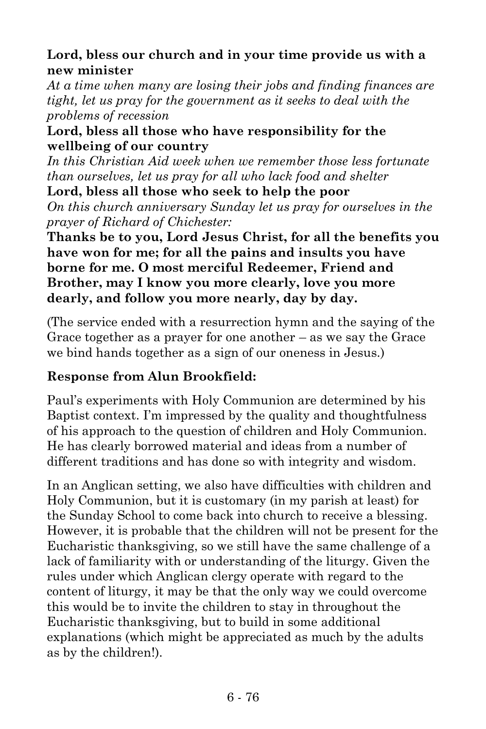#### **Lord, bless our church and in your time provide us with a new minister**

*At a time when many are losing their jobs and finding finances are tight, let us pray for the government as it seeks to deal with the problems of recession*

#### **Lord, bless all those who have responsibility for the wellbeing of our country**

*In this Christian Aid week when we remember those less fortunate than ourselves, let us pray for all who lack food and shelter*

**Lord, bless all those who seek to help the poor** *On this church anniversary Sunday let us pray for ourselves in the prayer of Richard of Chichester:*

**Thanks be to you, Lord Jesus Christ, for all the benefits you have won for me; for all the pains and insults you have borne for me. O most merciful Redeemer, Friend and Brother, may I know you more clearly, love you more dearly, and follow you more nearly, day by day.**

(The service ended with a resurrection hymn and the saying of the Grace together as a prayer for one another – as we say the Grace we bind hands together as a sign of our oneness in Jesus.)

### **Response from Alun Brookfield:**

Paul's experiments with Holy Communion are determined by his Baptist context. I'm impressed by the quality and thoughtfulness of his approach to the question of children and Holy Communion. He has clearly borrowed material and ideas from a number of different traditions and has done so with integrity and wisdom.

In an Anglican setting, we also have difficulties with children and Holy Communion, but it is customary (in my parish at least) for the Sunday School to come back into church to receive a blessing. However, it is probable that the children will not be present for the Eucharistic thanksgiving, so we still have the same challenge of a lack of familiarity with or understanding of the liturgy. Given the rules under which Anglican clergy operate with regard to the content of liturgy, it may be that the only way we could overcome this would be to invite the children to stay in throughout the Eucharistic thanksgiving, but to build in some additional explanations (which might be appreciated as much by the adults as by the children!).